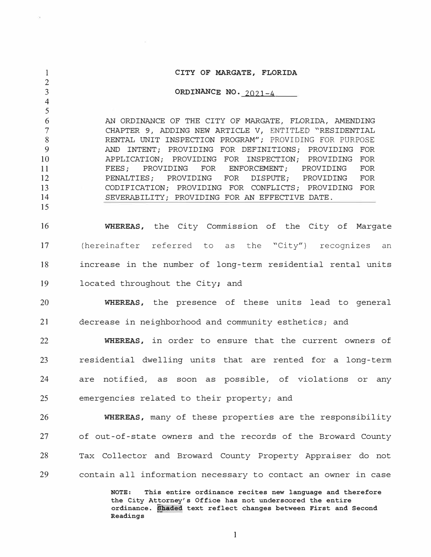1 2 3 4 5 6 7 8 9 10 11 12 13 14 15 16 17 **CITY OF MARGATE, FLORIDA ORDINANCE NO.** 2021-4 AN ORDINANCE OF THE CITY OF MARGATE, FLORIDA, AMENDING CHAPTER 9, ADDING NEW ARTICLE V, ENTITLED "RESIDENTIAL RENTAL UNIT INSPECTION PROGRAM"; PROVIDING FOR PURPOSE AND INTENT; PROVIDING FOR DEFINITIONS; PROVIDING FOR APPLICATION; PROVIDING FOR INSPECTION; PROVIDING FOR<br>FEES: PROVIDING FOR ENFORCEMENT: PROVIDING FOR IDING FOR ENFORCEMENT; PROVIDING FOR<br>PROVIDING FOR DISPUTE: PROVIDING FOR PENALTIES; CODIFICATION; PROVIDING FOR CONFLICTS; PROVIDING FOR SEVERABILITY; PROVIDING FOR AN EFFECTIVE DATE. **WHEREAS,** the City Commission of the City of Margate (hereinafter referred to as the "City") recognizes an 18 increase in the number of long-term residential rental units 19 located throughout the City; and 20 **WHEREAS,** the presence of these units lead to general 21 decrease in neighborhood and community esthetics; and 22 **WHEREAS,** in order to ensure that the current owners of 23 residential dwelling units that are rented for a long-term 24 are notified, as soon as possible, of violations or any 25 emergencies related to their property; and 26 **WHEREAS,** many of these properties are the responsibility 27 of out-of-state owners and the records of the Broward County 28 Tax Collector and Broward County Property Appraiser do not 29 contain all information necessary to contact an owner in case **NOTE: This entire ordinance recites new language and therefore** 

**the City Attorney's Office has not underscored the entire ordinance. [haded text reflect changes between First and Second Readings**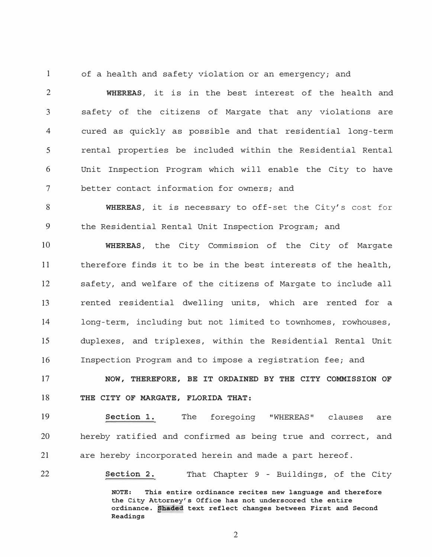1 of a health and safety violation or an emergency; and

2 **WHEREAS,** it is in the best interest of the health and 3 safety of the citizens of Margate that any violations are 4 cured as quickly as possible and that residential long-term 5 rental properties be included within the Residential Rental 6 Unit Inspection Program which will enable the City to have 7 better contact information for owners; and

8 **WHEREAS,** it is necessary to off-set the City's cost for 9 the Residential Rental Unit Inspection Program; and

10 **WHEREAS,** the City Commission of the City of Margate 11 therefore finds it to be in the best interests of the health, 12 safety, and welfare of the citizens of Margate to include all 13 rented residential dwelling units, which are rented for a 14 long-term, including but not limited to townhomes, rowhouses, 15 duplexes, and triplexes, within the Residential Rental Unit 16 Inspection Program and to impose a registration fee; and

17 **NOW, THEREFORE, BE IT ORDAINED BY THE CITY COMMISSION OF**  18 **THE CITY OF MARGATE, FLORIDA THAT:** 

19 **Section 1.** The foregoing "WHEREAS" clauses are 20 hereby ratified and confirmed as being true and correct, and 21 are hereby incorporated herein and made a part hereof.

22 **Section 2.** That Chapter 9 - Buildings, of the City

**NOTE: This entire ordinance recites new language and therefore the City Attorney's Office has not underscored the entire ordinance. �haded text reflect changes between First and Second Readings**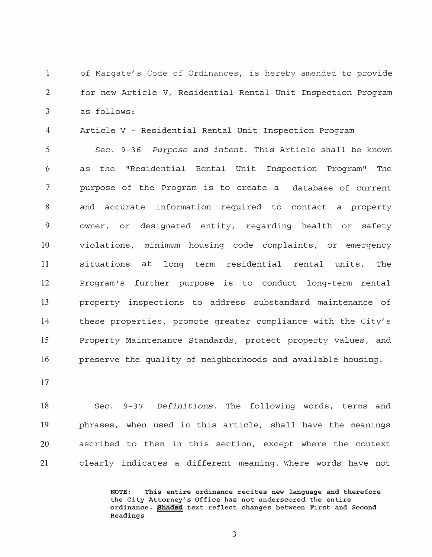1 of Margate's Code of Ordinances, is hereby amended to provide 2 for new Article V, Residential Rental Unit Inspection Program 3 as follows:

4 Article V - Residential Rental Unit Inspection Program

5 Sec. 9-36 *Purpose and intent.* This Article shall be known 6 as the "Residential Rental Unit Inspection Program" The 7 purpose of the Program is to create a database of current 8 and accurate information required to contact a property 9 owner, or designated entity, regarding health or safety 10 violations, minimum housing code complaints, or emergency 11 situations at long term residential rental units. The 12 Program's further purpose is to conduct long-term rental 13 property inspections to address substandard maintenance of 14 these properties, promote greater compliance with the City's 15 Property Maintenance Standards, protect property values, and 16 preserve the quality of neighborhoods and available housing.

17

18 Sec. 9-37 *Definitions.* The following words, terms and 19 phrases, when used in this article, shall have the meanings 20 ascribed to them in this section, except where the context 21 clearly indicates a different meaning. Where words have not

> **NOTE: This entire ordinance recites new language and therefore the City Attorney's Office has not underscored the entire ordinance. �hade� text reflect changes between First and Second Readings**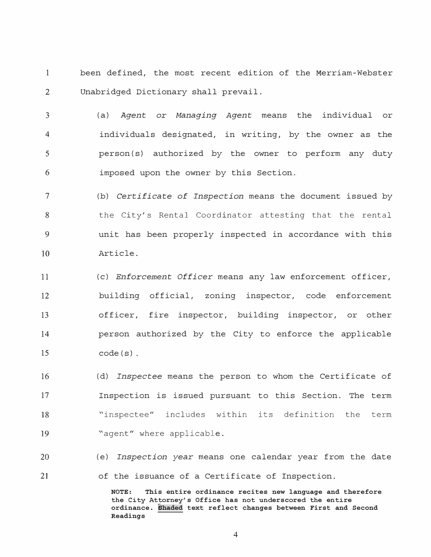1 been defined, the most recent edition of the Merriam-Webster 2 Unabridged Dictionary shall prevail.

3 4 5 6 (a) *Agent* or *Managing Agent* means the individual or individuals designated, in writing, by the owner as the person(s) authorized by the owner to perform any duty imposed upon the owner by this Section.

7 (b) *Certificate of Inspection* means the document issued by the City's Rental Coordinator attesting that the rental 8 9 unit has been properly inspected in accordance with this 10 Article.

11 12 13 14 15 (c) *Enforcement Officer* means any law enforcement officer, building official, zoning inspector, code enforcement officer, fire inspector, building inspector, or other person authorized by the City to enforce the applicable  $code(s)$ .

16 (d) *Inspectee* means the person to whom the Certificate of 17 Inspection is issued pursuant to this Section. The term 18 "inspectee" includes within its definition the term 19 "agent" where applicable.

20 21 (e) *Inspection year* means one calendar year from the date of the issuance of a Certificate of Inspection.

> **NOTE: This entire ordinance recites new language and therefore the City Attorney's Office has not underscored the entire ordinance. �haded text reflect changes between First and Second Readings**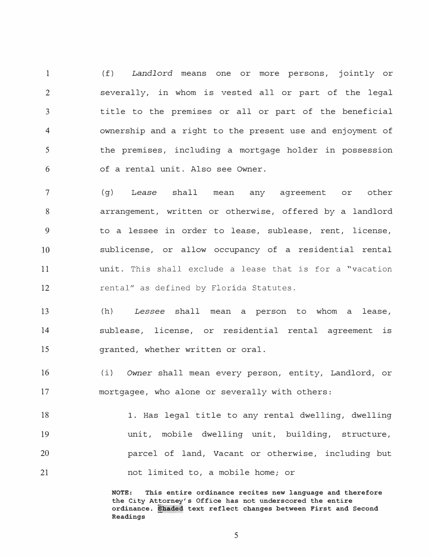1 2 3 4 5 6 ( f) *Landlord* means one or more persons, jointly or severally, in whom is vested all or part of the legal title to the premises or all or part of the beneficial ownership and a right to the present use and enjoyment of the premises, including a mortgage holder in possession of a rental unit. Also see Owner.

7 ( g) Lease shall mean any agreement or other arrangement, written or otherwise, offered by a landlord 8 9 to a lessee in order to lease, sublease, rent, license, 10 sublicense, or allow occupancy of a residential rental unit. This shall exclude a lease that is for a "vacation 11 12 rental" as defined by Florida Statutes.

13 14 15 (h) *Lessee* shall mean a person to whom a lease, sublease, license, or residential rental agreement is granted, whether written or oral.

16 17 ( i) *Owner* shall mean every person, entity, Landlord, or mortgagee, who alone or severally with others:

18 19 20 21 1. Has legal title to any rental dwelling, dwelling unit, mobile dwelling unit, building, structure, parcel of land, Vacant or otherwise, including but not limited to, a mobile home; or

> **NOTE: This entire ordinance recites new language and therefore the City Attorney's Office has not underscored the entire ordinance. �haded text reflect changes between First and Second Readings**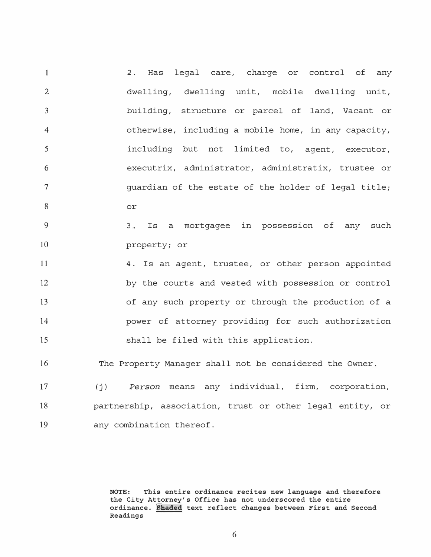1  $\mathcal{D}$ 3 4 5 6 7 8 2. Has legal care, charge or control of any dwelling, dwelling unit, mobile dwelling unit, building, structure or parcel of land, Vacant or otherwise, including a mobile home, in any capacity, including but not limited to, agent, executor, executrix, administrator, administratix, trustee or guardian of the estate of the holder of legal title; or

9 10 3. Is a mortgagee in possession of any such property; or

11 12 13 14 15 4. Is an agent, trustee, or other person appointed by the courts and vested with possession or control of any such property or through the production of a power of attorney providing for such authorization shall be filed with this application.

16 The Property Manager shall not be considered the Owner.

17 18 19 (j) *Person* means any individual, firm, corporation, partnership, association, trust or other legal entity, or any combination thereof.

> **NOTE: This entire ordinance recites new language and therefore the City Attorney's Office has not underscored the entire ordinance. ifhaded text reflect changes between First and Second Readings**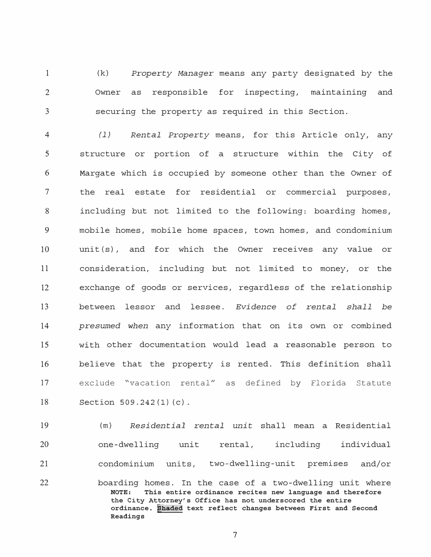1 2 3 (k) *Property Manager* means any party designated by the Owner as responsible for inspecting, maintaining and securing the property as required in this Section.

4 *( 1) Rental Property* means, for this Article only, any 5 structure or portion of a structure within the City of 6 Margate which is occupied by someone other than the Owner of 7 the real estate for residential or commercial purposes, 8 including but not limited to the following: boarding homes, 9 mobile homes, mobile home spaces, town homes, and condominium 10 unit(s), and for which the Owner receives any value or 11 consideration, including but not limited to money, or the 12 exchange of goods or services, regardless of the relationship 13 between lessor and lessee. *Evidence of rental shall be*  14 *presumed when* any information that on its own or combined 15 with other documentation would lead a reasonable person to 16 believe that the property is rented. This definition shall 17 exclude "vacation rental" as defined by Florida Statute 18 Section 509. 242 (1) (c).

19 20 21 (m) *Residential rental unit* shall mean a Residential one-dwelling unit rental, including individual condominium units, two-dwelling-unit premises and/or

22 boarding homes. In the case of a two-dwelling unit where<br>NOTE: This entire ordinance recites new language and therefore This entire ordinance recites new language and therefore **the City Attorney's Office has not underscored the entire ordinance. phaded text reflect changes between First and Second Readings**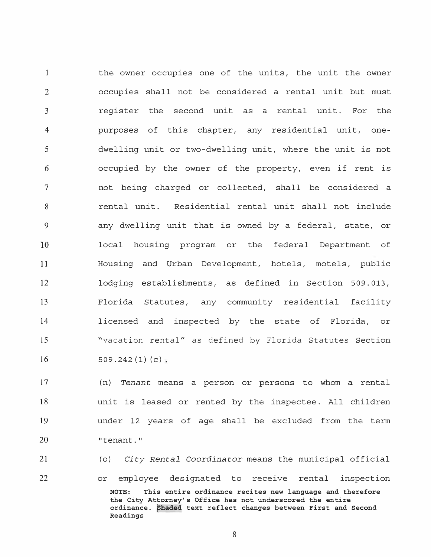the owner occupies one of the units, the unit the owner 1 2 occupies shall not be considered a rental unit but must 3 register the second unit as a rental unit. For the purposes of this chapter, any residential unit, one-4 5 dwelling unit or two-dwelling unit, where the unit is not 6 occupied by the owner of the property, even if rent is 7 not being charged or collected, shall be considered a 8 rental unit. Residential rental unit shall not include 9 any dwelling unit that is owned by a federal, state, or 10 local housing program or the federal Department of 11 Housing and Urban Development, hotels, motels, public 12 lodging establishments, as defined in Section 509.013, Florida Statutes, any community residential facility 13 14 licensed and inspected by the state of Florida, or 15 "vacation rental" as defined by Florida Statutes Section 16  $509.242(1)(c)$ 

17 18 19 20 (n) *Tenant* means a person or persons to whom a rental unit is leased or rented by the inspectee. All children under 12 years of age shall be excluded from the term "tenant."

21 22 ( 0) *City Rental Coordinator* means the municipal official or employee designated to receive rental inspection **NOTE: This entire ordinance recites new language and therefore the City Attorney's Office has not underscored the entire ordinance.** �haded **text reflect changes between First and Second Readings**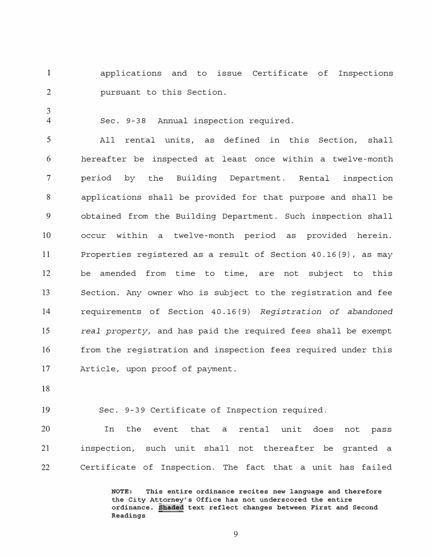1 2 applications and to issue Certificate of Inspections pursuant to this Section.

Sec. 9-38 Annual inspection required.

5 All rental units, as defined in this Section, shall 6 hereafter be inspected at least once within a twelve-month 7 period by the Building Department. Rental inspection 8 applications shall be provided for that purpose and shall be 9 obtained from the Building Department. Such inspection shall 10 occur within a twelve-month period as provided herein. 11 Properties registered as a result of Section 40.16(9), as may 12 be amended from time to time, are not subject to this 13 Section. Any owner who is subject to the registration and fee 14 requirements of Section 40 .16 (9) *Registration of abandoned*  15 *real property,* and has paid the required fees shall be exempt 16 from the registration and inspection fees required under this 17 Article, upon proof of payment.

18

3 4

19 Sec. 9-39 Certificate of Inspection required.

20 In the event that a rental unit does not pass 21 inspection, such unit shall not thereafter be granted a 22 Certificate of Inspection. The fact that a unit has failed

> **NOTE: This entire ordinance recites new language and therefore the City Attorney's Office has not underscored the entire ordinance. �hade� text reflect changes between First and Second Readings**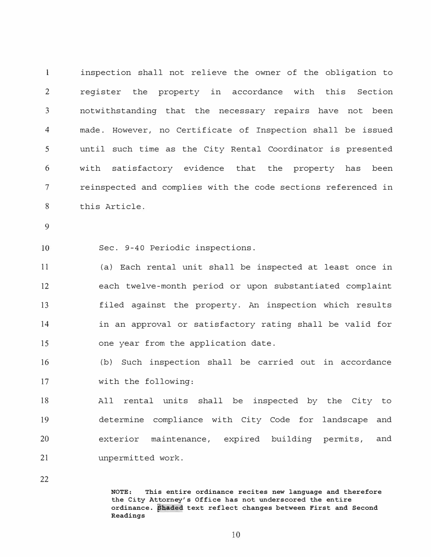1 inspection shall not relieve the owner of the obligation to 2 register the property in accordance with this Section 3 notwithstanding that the necessary repairs have not been 4 made. However, no Certificate of Inspection shall be issued 5 until such time as the City Rental Coordinator is presented 6 with satisfactory evidence that the property has been 7 reinspected and complies with the code sections referenced in 8 this Article.

9

10 Sec. 9-40 Periodic inspections.

11 12 13 14 15 (a) Each rental unit shall be inspected at least once in each twelve-month period or upon substantiated complaint filed against the property. An inspection which results in an approval or satisfactory rating shall be valid for one year from the application date.

16 17 (b) Such inspection shall be carried out in accordance with the following:

18 19 20 21 All rental units shall be inspected by the City to determine compliance with City Code for landscape and exterior maintenance, expired building permits, and unpermitted work.

22

**NOTE: This entire ordinance recites new language and therefore the City Attorney's Office has not underscored the entire ordinance. �haded text reflect changes between First and Second Readings**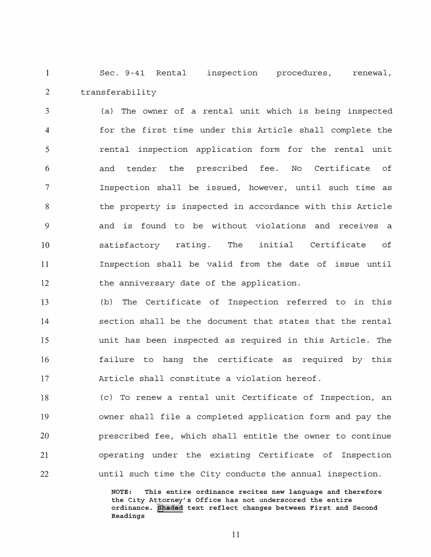1 Sec. 9-41 Rental inspection procedures, renewal, 2 transferability

(a) The owner of a rental unit which is being inspected 3 for the first time under this Article shall complete the 4 rental inspection application form for the rental unit 5 and tender the prescribed fee. No Certificate of 6 7 Inspection shall be issued, however, until such time as the property is inspected in accordance with this Article 8 9 and is found to be without violations and receives a 10 satisfactory rating. The initial Certificate of Inspection shall be valid from the date of issue until 11 12 the anniversary date of the application.

13 14 15 16 17 (b) The Certificate of Inspection referred to in this section shall be the document that states that the rental unit has been inspected as required in this Article. The failure to hang the certificate as required by this Article shall constitute a violation hereof.

18 19 20 21 22 (c) To renew a rental unit Certificate of Inspection, an owner shall file a completed application form and pay the prescribed fee, which shall entitle the owner to continue operating under the existing Certificate of Inspection until such time the City conducts the annual inspection.

> **NOTE: This entire ordinance recites new language and therefore the City Attorney's Office has not underscored the entire**  ordinance. Shaded text reflect changes between First and Second **Readings**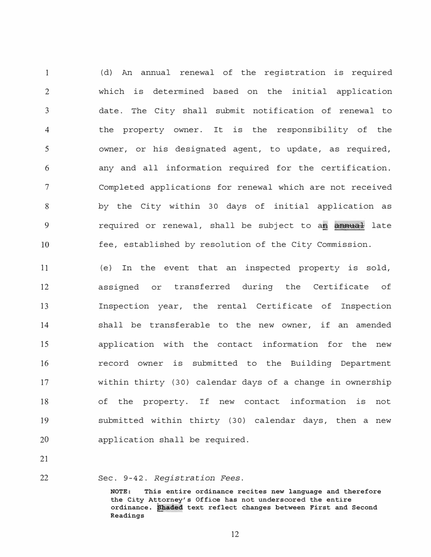(d) An annual renewal of the registration is required 1 which is determined based on the initial application  $\mathcal{D}$ 3 date. The City shall submit notification of renewal to 4 the property owner. It is the responsibility of the owner, or his designated agent, to update, as required, 5 6 any and all information required for the certification. Completed applications for renewal which are not received 7 8 by the City within 30 days of initial application as 9 required or renewal, shall be subject to a� **annual** late fee, established by resolution of the City Commission. 10

11 12 13 14 15 16 17 18 19 20 (e) In the event that an inspected property is sold, assigned or transferred during the Certificate of Inspection year, the rental Certificate of Inspection shall be transferable to the new owner, if an amended application with the contact information for the new record owner is submitted to the Building Department within thirty (30) calendar days of a change in ownership of the property. If new contact information is not submitted within thirty (30) calendar days, then a new application shall be required.

21

22 Sec. 9-42. *Registration Fees.* 

> **NOTE: This entire ordinance recites new language and therefore the City Attorney's Office has not underscored the entire ordinance. �haded text reflect changes between First and Second Readings**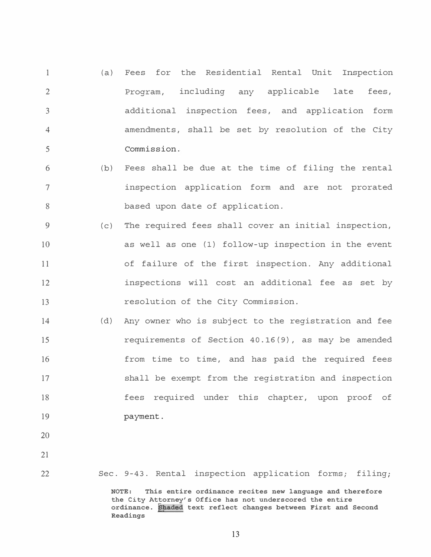- 1  $\mathcal{D}$ 3 4 5  $(a)$ Fees for the Residential Rental Unit Inspection Program, including any applicable late fees, additional inspection fees, and application form amendments, shall be set by resolution of the City Commission.
- 6 7 8 (b) Fees shall be due at the time of filing the rental inspection application form and are not prorated based upon date of application.
- 9 10 11 12 13  $(C)$ The required fees shall cover an initial inspection, as well as one (1) follow-up inspection in the event of failure of the first inspection. Any additional inspections will cost an additional fee as set by resolution of the City Commission.
- 14 15 16 17 18 19 (d) Any owner who is subject to the registration and fee requirements of Section 40.16(9), as may be amended from time to time, and has paid the required fees shall be exempt from the registratibn and inspection fees required under this chapter, upon proof of payment.
- 20
- 21

22

Sec. 9-43. Rental inspection application forms; filing;

**NOTE: This entire ordinance recites new language and therefore the City Attorney's Office has not underscored the entire ordinance. �haded text reflect changes between First and Second Readings**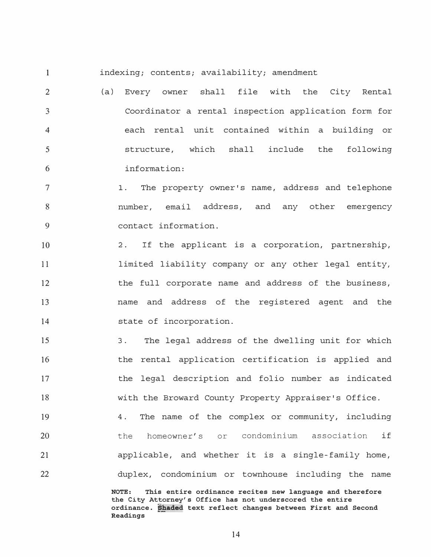1

indexing; contents; availability; amendment

2 3 4 5 6 (a) Every owner shall file with the City Rental Coordinator a rental inspection application form for each rental unit contained within a building or structure, which shall include the following information:

7 8 9 1. The property owner's name, address and telephone number, email address, and any other emergency contact information.

10 2. If the applicant is a corporation, partnership, 11 limited liability company or any other legal entity, 12 the full corporate name and address of the business, 13 name and address of the registered agent and the 14 state of incorporation.

15 16 17 18 3. The legal address of the dwelling unit for which the rental application certification is applied and the legal description and folio number as indicated with the Broward County Property Appraiser's Office.

19 20 21 22 4. The name of the complex or community, including the homeowner's or condominium association if applicable, and whether it is a single-family home, duplex, condominium or townhouse including the name

> **NOTE: This entire ordinance recites new language and therefore the City Attorney's Office has not underscored the entire**  ordinance. Shaded text reflect changes between First and Second **Readings**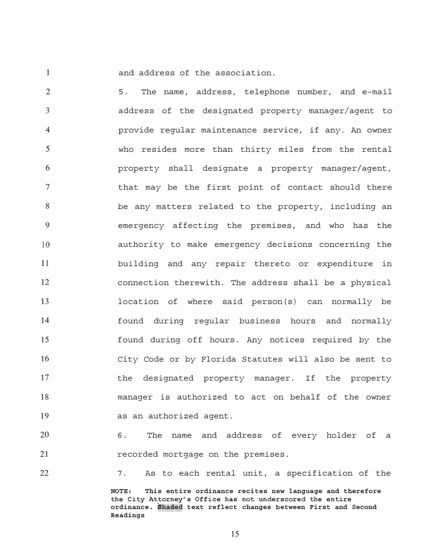1

and address of the association.

2 5. The name, address, telephone number, and e-mail 3 address of the designated property manager/agent to provide regular maintenance service, if any. An owner 4 5 who resides more than thirty miles from the rental 6 property shall designate a property manager/agent, 7 that may be the first point of contact should there be any matters related to the property, including an 8 9 emergency affecting the premises, and who has the 10 authority to make emergency decisions concerning the 11 building and any repair thereto or expenditure in 12 connection therewith. The address shall be a physical 13 location of where said person(s) can normally be 14 found during regular business hours and normally 15 found during off hours. Any notices required by the 16 City Code or by Florida Statutes will also be sent to 17 the designated property manager. If the property 18 manager is authorized to act on behalf of the owner 19 as an authorized agent.

20 21 **6.** The name and address of every holder of a recorded mortgage on the premises.

22

7. As to each rental unit, a specification of the

**NOTE: This entire ordinance recites new language and therefore the City Attorney's Office has not underscored the entire ordinance. Shaded text reflect changes between First and Second Readings**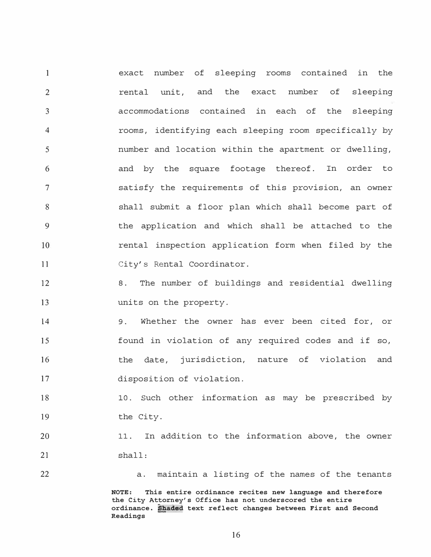1 exact number of sleeping rooms contained in the  $\mathfrak{D}$ rental unit, and the exact number of sleeping 3 accommodations contained in each of the sleeping rooms, identifying each sleeping room specifically by 4 number and location within the apartment or dwelling, 5 and by the square footage thereof. In order to 6 7 satisfy the requirements of this provision, an owner shall submit a floor plan which shall become part of 8 9 the application and which shall be attached to the 10 rental inspection application form when filed by the 11 City's Rental Coordinator.

12 13 8. The number of buildings and residential dwelling units on the property.

14 15 16 17 9. Whether the owner has ever been cited for, or found in violation of any required codes and if so, the date, jurisdiction, nature of violation and disposition of violation.

18 19 10. Such other information as may be prescribed by the City.

20 21 11. In addition to the information above, the owner shall:

22 a. maintain a listing of the names of the tenants **NOTE: This entire ordinance recites new language and therefore the City Attorney's Office has not underscored the entire ordinance. �aded text reflect changes between First and Second Readings**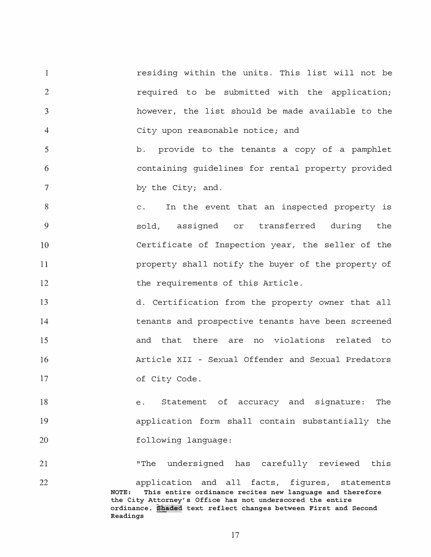1 2 3 4 residing within the units. This list will not be required to be submitted with the application; however, the list should be made available to the City upon reasonable notice; and

5 6 7 **b.** provide to the tenants a copy of a pamphlet containing guidelines for rental property provided by the City; and.

C. In the event that an inspected property is 8 9 sold, assigned or transferred during the 10 Certificate of Inspection year, the seller of the 11 property shall notify the buyer of the property of 12 the requirements of this Article.

13 14 15 16 17 d. Certification from the property owner that all tenants and prospective tenants have been screened and that there are no violations related to Article XII - Sexual Offender and Sexual Predators of City Code.

18 19 20 e. Statement of accuracy and signature: The application form shall contain substantially the following language:

21 22 "The undersigned has carefully reviewed this application and all facts, figures, statements **NOTE: This entire ordinance recites new language and therefore the City Attorney's Office has not underscored the entire ordinance. ��ded text reflect changes between First and Second Readings**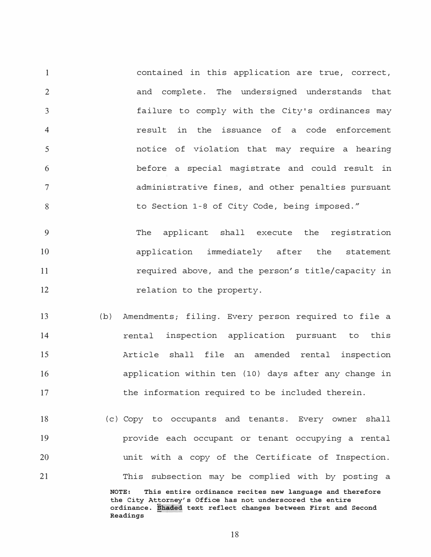1 2 3 4 5 6 7 8 contained in this application are true, correct, and complete. The undersigned understands that failure to comply with the City's ordinances may result in the issuance of a code enforcement notice of violation that may require a hearing before a special magistrate and could result in administrative fines, and other penalties pursuant to Section 1-8 of City Code, being imposed."

9 10 11 12 The applicant shall execute the registration application immediately after the statement required above, and the person's title/capacity in relation to the property.

- 13 14 15 16 17 (b) Amendments; filing. Every person required to file a rental inspection application pursuant to this Article shall file an amended rental inspection application within ten (10) days after any change in the information required to be included therein.
- 18 19 20 21 (c) Copy to occupants and tenants. Every owner shall provide each occupant or tenant occupying a rental unit with a copy of the Certificate of Inspection. This subsection may be complied with by posting a **NOTE: This entire ordinance recites new language and therefore the City Attorney's Office has not underscored the entire**

**ordinance. �haded text reflect changes between First and Second Readings**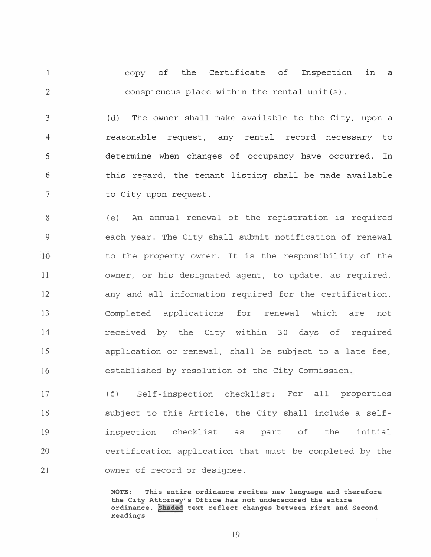1 2 copy of the Certificate of Inspection in **a**  conspicuous place within the rental unit(s).

3 4 5 6 7 ( d) The owner shall make available to the City, upon a reasonable request, any rental record necessary to determine when changes of occupancy have occurred. In this regard, the tenant listing shall be made available to City upon request.

( e) An annual renewal of the registration is required 8 9 each year. The City shall submit notification of renewal 10 to the property owner. It is the responsibility of the 11 owner, or his designated agent, to update, as required, any and all information required for the certification. 12 13 Completed applications for renewal which are not received by the City within 30 days of required 14 15 application or renewal, shall be subject to a late fee, 16 established by resolution of the City Commission.

17 18 19 20 21 ( f) Self-inspection checklist: For all properties subject to this Article, the City shall include a selfinspection checklist as part of the initial certification application that must be completed by the owner of record or designee.

> **NOTE: This entire ordinance recites new language and therefore the City Attorney's Office has not underscored the entire ordinance. ��ded text reflect changes between First and Second Readings**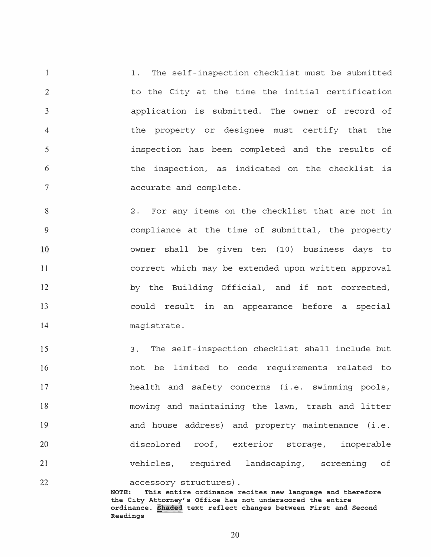1 2 3 4 5 6 7 1. The self-inspection checklist must be submitted to the City at the time the initial certification application is submitted. The owner of record of the property or designee must certify that the inspection has been completed and the results of the inspection, as indicated on the checklist is accurate and complete.

8 2. For any items on the checklist that are not in compliance at the time of submittal, the property 9 10 owner shall be given ten (10) business days to 11 correct which may be extended upon written approval 12 by the Building Official, and if not corrected, 13 could result in an appearance before a special 14 magistrate.

15 16 17 18 19 20 21 3. The self-inspection checklist shall include but not be limited to code requirements related to health and safety concerns (i.e. swimming pools, mowing and maintaining the lawn, trash and litter and house address) and property maintenance (i.e. discolored roof, exterior storage, inoperable vehicles, required landscaping, screening of

22 accessory structures).<br>NOTE: This entire ordinance r This entire ordinance recites new language and therefore **the City Attorney's Office has not underscored the entire ordinance. @haded text reflect changes between First and Second Readings**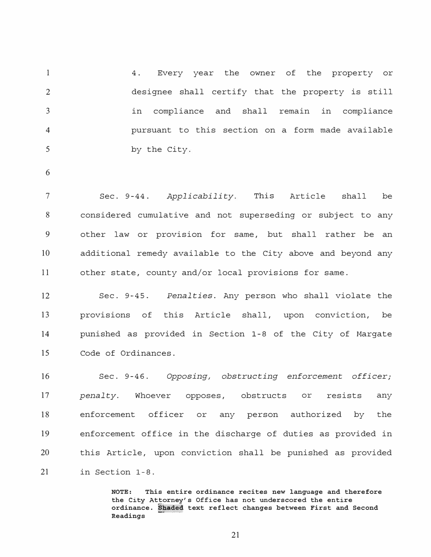1  $\mathcal{D}$ 3 4 5 4. Every year the owner of the property or designee shall certify that the property is still in compliance and shall remain in compliance pursuant to this section on a form made available by the City.

6

7 Sec. 9-44. *Applicability.* **This** Article shall be 8 considered cumulative and not superseding or subject to any 9 other law or provision for same, but shall rather be an 10 additional remedy available to the City above and beyond any 11 other state, county and/or local provisions for same.

12 13 Sec. 9-45. *Penalties.* Any person who shall violate the provisions of this Article shall, upon conviction, be 14 punished as provided in Section 1-8 of the City of Margate 15 Code of Ordinances.

16 17 18 Sec. 9-46. *Opposing, obstructing enforcement officer; penalty.* Whoever opposes, enforcement officer or obstructs person or resists authorized by any the 19 enforcement office in the discharge of duties as provided in 20 this Article, upon conviction shall be punished as provided 21 in Section 1-8.

> **NOTE: This entire ordinance recites new language and therefore the City Attorney's Office has not underscored the entire ordinance. Shaded text reflect changes between First and Second Readings**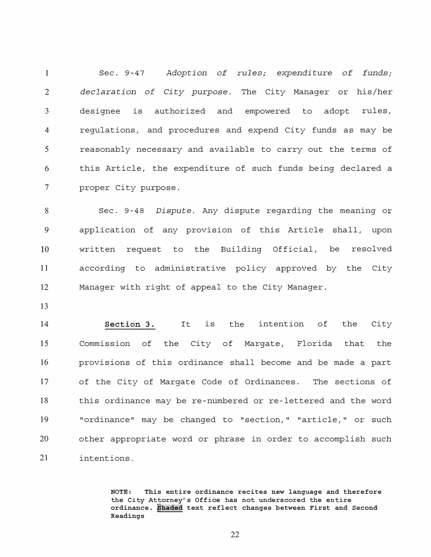1 Sec. 9-47 *Adoption of* rules; *expenditure of funds;*  2 *declaration of City purpose.* The City Manager or his/her 3 designee is authorized and empowered to adopt rules, 4 regulations, and procedures and expend City funds as may be 5 reasonably necessary and available to carry out the terms of 6 this Article, the expenditure of such funds being declared a 7 proper City purpose.

8 Sec. 9-48 *Dispute.* Any dispute regarding the meaning or 9 application of any provision of this Article shall, upon written request to the Building Official, be resolved 10 11 according to administrative policy approved by the City 12 Manager with right of appeal to the City Manager.

13

14 15 **Section 3.**  Commission of It the City of Margate, Florida is the intention of the that City the 16 provisions of this ordinance shall become and be made a part 17 of the City of Margate Code of Ordinances. The sections of 18 this ordinance may be re-numbered or re-lettered and the word 19 "ordinance" may be changed to "section," "article," or such 20 other appropriate word or phrase in order to accomplish such 21 intentions.

> **NOTE: This entire ordinance recites new language and therefore the City Attorney's Office has not underscored the entire ordinance. phaded text reflect changes between First and Second Readings**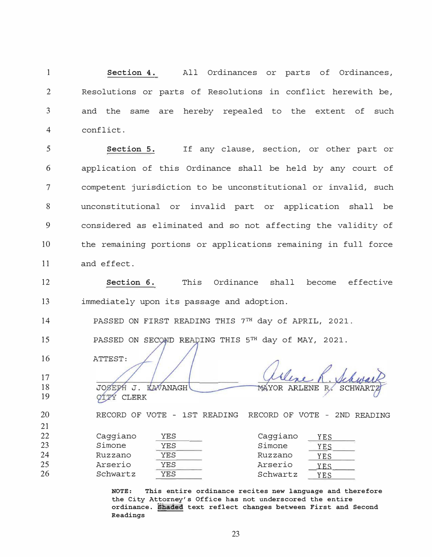1 **Section 4.** All Ordinances or parts of Ordinances, 2 Resolutions or parts of Resolutions in conflict herewith be, 3 and the same are hereby repealed to the extent of such 4 conflict.

5 **Section 5.** If any clause, section, or other part or 6 application of this Ordinance shall be held by any court of 7 competent jurisdiction to be unconstitutional or invalid, such 8 unconstitutional or invalid part or application shall be 9 considered as eliminated and so not affecting the validity of 10 the remaining portions or applications remaining in full force 11 and effect.

12 **Section 6.** This Ordinance shall become effective 13 immediately upon its passage and adoption.

14 PASSED ON FIRST READING THIS <sup>7</sup> TH day of APRIL, 2021.

15 PASSED ON SECOND READING THIS 5TH day of MAY, 2021.

KAVANAGH

JOSEPH J.

**CIPY CLERK** 

16 ATTEST:

17 18 19

20

MAYOR ARLENE R.

SCHWAR

21 22 23 24 25 26 Caggiano <u>YES</u> Caggiano <u>YES</u><br>Simone YES Simone YES Simone <u>YES Simone YES</u> Ruzzano <u>YES Ruzzano YES</u> Arserio <u>YES Arserio yes.</u><br>Gebrarta YES - Gebrarta 1150 Schwartz <u>YES Schwartz YES</u>

> **NOTE: This entire ordinance recites new language and therefore the City Attorney's Office has not underscored the entire ordinance. t§aded text reflect changes between First and Second Readings**

RECORD OF VOTE - 1ST READING RECORD OF VOTE - 2ND READING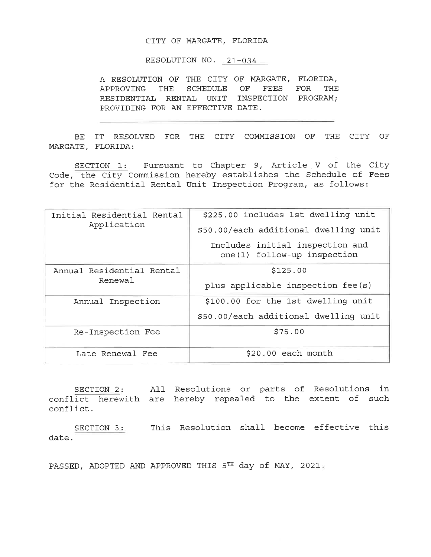## CITY OF MARGATE, FLORIDA

RESOLUTION NO. 21-034

A RESOLUTION OF THE CITY OF MARGATE, FLORIDA, APPROVING THE SCHEDULE OF FEES FOR THE RESIDENTIAL RENTAL UNIT INSPECTION PROGRAM; PROVIDING FOR AN EFFECTIVE DATE.

BE IT RESOLVED FOR THE CITY COMMISSION OF THE CITY OF MARGATE, FLORIDA:

SECTION 1: Pursuant to Chapter 9, Article V of the City Code, the City Commission hereby establishes the Schedule of Fees for the Residential Rental Unit Inspection Program, as follows:

| Initial Residential Rental<br>Application | \$225.00 includes 1st dwelling unit                             |
|-------------------------------------------|-----------------------------------------------------------------|
|                                           | \$50.00/each additional dwelling unit                           |
|                                           | Includes initial inspection and<br>one (1) follow-up inspection |
| Annual Residential Rental<br>Renewal      | \$125.00                                                        |
|                                           | plus applicable inspection fee(s)                               |
| Annual Inspection                         | \$100.00 for the 1st dwelling unit                              |
|                                           | \$50.00/each additional dwelling unit                           |
| Re-Inspection Fee                         | \$75.00                                                         |
| Late Renewal Fee                          | $$20.00$ each month                                             |

SECTION 2: All Resolutions or parts of Resolutions in conflict herewith are hereby repealed to the extent of such conflict.

SECTION 3: This Resolution shall become effective this date.

PASSED, ADOPTED AND APPROVED THIS 5TH day of MAY, 2021.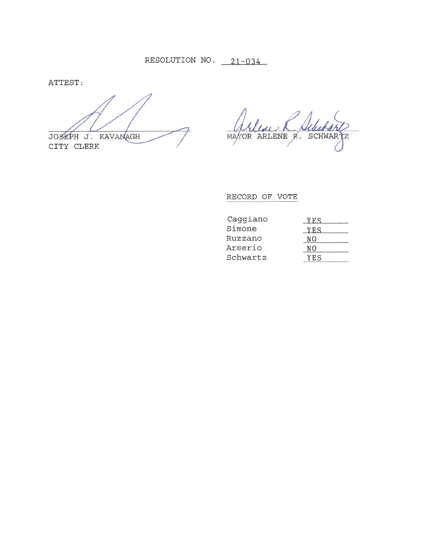ATTEST:

JOSEPH J. KAVANAGH CITY CLERK

MAYOR ARLENE R. SCHWARTZ

RECORD OF VOTE

| Caggiano | YES |
|----------|-----|
| Simone   | YFS |
| Ruzzano  | NΟ  |
| Arserio  | NΩ  |
| Schwartz | YFS |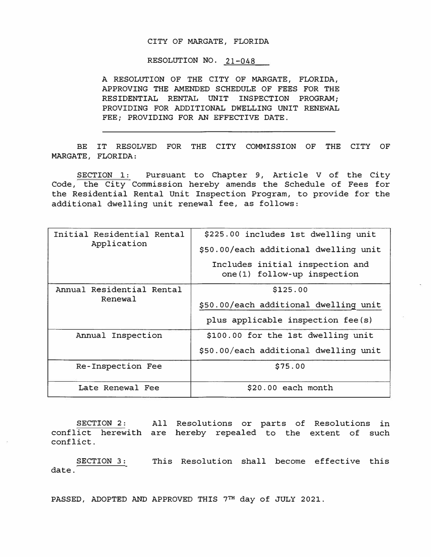## CITY OF MARGATE, FLORIDA

RESOLUTION NO. 21-048

**A RESOLUTION OF THE CITY OF MARGATE, FLORIDA, APPROVING THE AMENDED SCHEDULE OF FEES FOR THE RESIDENTIAL RENTAL UNIT INSPECTION PROGRAM; PROVIDING FOR ADDITIONAL DWELLING UNIT RENEWAL FEE; PROVIDING FOR AN EFFECTIVE DATE.** 

**BE IT RESOLVED FOR THE CITY COMMISSION OF THE CITY OF MARGATE, FLORIDA:** 

SECTION 1: Pursuant to Chapter 9, Article V of the City Code, the City Commission hereby amends the Schedule of Fees for the Residential Rental Unit Inspection Program, to provide for the additional dwelling unit renewal fee, as follows:

| Initial Residential Rental<br>Application | \$225.00 includes 1st dwelling unit                            |
|-------------------------------------------|----------------------------------------------------------------|
|                                           | \$50.00/each additional dwelling unit                          |
|                                           | Includes initial inspection and<br>one(1) follow-up inspection |
| Annual Residential Rental<br>Renewal      | \$125.00                                                       |
|                                           | \$50.00/each additional dwelling unit                          |
|                                           | plus applicable inspection fee(s)                              |
| Annual Inspection                         | \$100.00 for the 1st dwelling unit                             |
|                                           | \$50.00/each additional dwelling unit                          |
| Re-Inspection Fee                         | \$75.00                                                        |
| Late Renewal Fee                          | \$20.00 each month                                             |

SECTION 2: All Resolutions or parts of Resolutions in conflict herewith are hereby repealed to the extent of such conflict.

**SECTION 3:** This Resolution shall become effective this date.

PASSED, ADOPTED AND APPROVED THIS 7TH day of JULY 2021.